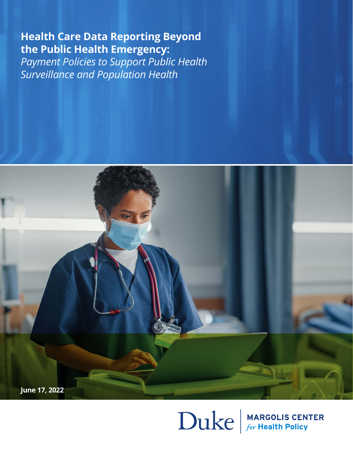**Health Care Data Reporting Beyond the Public Health Emergency:** 

*Payment Policies to Support Public Health Surveillance and Population Health*



 $\sum$ UK $e$   $\frac{$  MARGOLIS CENTER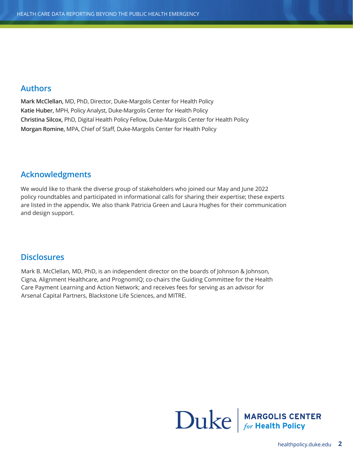#### **Authors**

**Mark McClellan,** MD, PhD, Director, Duke-Margolis Center for Health Policy **Katie Huber,** MPH, Policy Analyst, Duke-Margolis Center for Health Policy **Christina Silcox,** PhD, Digital Health Policy Fellow, Duke-Margolis Center for Health Policy **Morgan Romine,** MPA, Chief of Staff, Duke-Margolis Center for Health Policy

#### **Acknowledgments**

We would like to thank the diverse group of stakeholders who joined our May and June 2022 policy roundtables and participated in informational calls for sharing their expertise; these experts are listed in the appendix. We also thank Patricia Green and Laura Hughes for their communication and design support.

#### **Disclosures**

Mark B. McClellan, MD, PhD, is an independent director on the boards of Johnson & Johnson, Cigna, Alignment Healthcare, and PrognomIQ; co-chairs the Guiding Committee for the Health Care Payment Learning and Action Network; and receives fees for serving as an advisor for Arsenal Capital Partners, Blackstone Life Sciences, and MITRE.

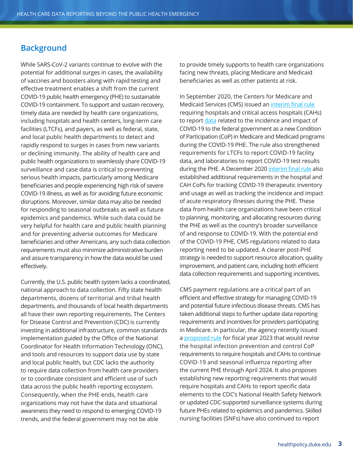## **Background**

While SARS-CoV-2 variants continue to evolve with the potential for additional surges in cases, the availability of vaccines and boosters along with rapid testing and effective treatment enables a shift from the current COVID-19 public health emergency (PHE) to sustainable COVID-19 containment. To support and sustain recovery, timely data are needed by health care organizations, including hospitals and health centers, long-term care facilities (LTCFs), and payers, as well as federal, state, and local public health departments to detect and rapidly respond to surges in cases from new variants or declining immunity. The ability of health care and public health organizations to seamlessly share COVID-19 surveillance and case data is critical to preventing serious health impacts, particularly among Medicare beneficiaries and people experiencing high risk of severe COVID-19 illness, as well as for avoiding future economic disruptions. Moreover, similar data may also be needed for responding to seasonal outbreaks as well as future epidemics and pandemics. While such data could be very helpful for health care and public health planning and for preventing adverse outcomes for Medicare beneficiaries and other Americans, any such data collection requirements must also minimize administrative burden and assure transparency in how the data would be used effectively.

Currently, the U.S. public health system lacks a coordinated, national approach to data collection. Fifty state health departments, dozens of territorial and tribal health departments, and thousands of local health departments all have their own reporting requirements. The Centers for Disease Control and Prevention (CDC) is currently investing in additional infrastructure, common standards implementation guided by the Office of the National Coordinator for Health Information Technology (ONC), and tools and resources to support data use by state and local public health, but CDC lacks the authority to require data collection from health care providers or to coordinate consistent and efficient use of such data across the public health reporting ecosystem. Consequently, when the PHE ends, health care organizations may not have the data and situational awareness they need to respond to emerging COVID-19 trends, and the federal government may not be able

to provide timely supports to health care organizations facing new threats, placing Medicare and Medicaid beneficiaries as well as other patients at risk.

In September 2020, the Centers for Medicare and Medicaid Services (CMS) issued an [interim final rule](https://www.federalregister.gov/documents/2020/09/02/2020-19150/medicare-and-medicaid-programs-clinical-laboratory-improvement-amendments-clia-and-patient) requiring hospitals and critical access hospitals (CAHs) to report [data](https://www.hhs.gov/sites/default/files/covid-19-faqs-hospitals-hospital-laboratory-acute-care-facility-data-reporting.pdf) related to the incidence and impact of COVID-19 to the federal government as a new Condition of Participation (CoP) in Medicare and Medicaid programs during the COVID-19 PHE. The rule also strengthened requirements for LTCFs to report COVID-19 facility data, and laboratories to report COVID-19 test results during the PHE. A December 2020 [interim final rule](https://www.federalregister.gov/documents/2020/12/29/2020-26819/medicare-program-hospital-outpatient-prospective-payment-and-ambulatory-surgical-center-payment) also established additional requirements in the hospital and CAH CoPs for tracking COVID-19 therapeutic inventory and usage as well as tracking the incidence and impact of acute respiratory illnesses during the PHE. These data from health care organizations have been critical to planning, monitoring, and allocating resources during the PHE as well as the country's broader surveillance of and response to COVID-19. With the potential end of the COVID-19 PHE, CMS regulations related to data reporting need to be updated. A clearer post-PHE strategy is needed to support resource allocation, quality improvement, and patient care, including both efficient data collection requirements and supporting incentives.

CMS payment regulations are a critical part of an efficient and effective strategy for managing COVID-19 and potential future infectious disease threats. CMS has taken additional steps to further update data reporting requirements and incentives for providers participating in Medicare. In particular, the agency recently issued a [proposed rule](https://www.govinfo.gov/content/pkg/FR-2022-05-10/pdf/2022-08268.pdf) for fiscal year 2023 that would revise the hospital infection prevention and control CoP requirements to require hospitals and CAHs to continue COVID-19 and seasonal influenza reporting after the current PHE through April 2024. It also proposes establishing new reporting requirements that would require hospitals and CAHs to report specific data elements to the CDC's National Health Safety Network or updated CDC-supported surveillance systems during future PHEs related to epidemics and pandemics. Skilled nursing facilities (SNFs) have also continued to report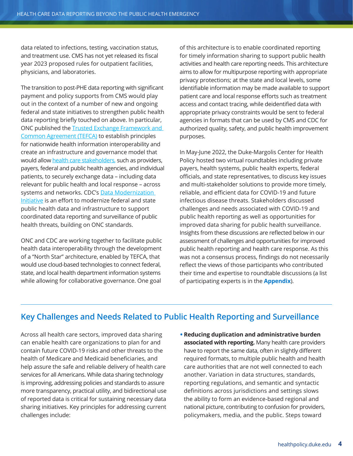data related to infections, testing, vaccination status, and treatment use. CMS has not yet released its fiscal year 2023 proposed rules for outpatient facilities, physicians, and laboratories.

The transition to post-PHE data reporting with significant payment and policy supports from CMS would play out in the context of a number of new and ongoing federal and state initiatives to strengthen public health data reporting briefly touched on above. In particular, ONC published the [Trusted Exchange Framework and](https://www.healthit.gov/topic/interoperability/trusted-exchange-framework-and-common-agreement-tefca)  [Common Agreement \(TEFCA\)](https://www.healthit.gov/topic/interoperability/trusted-exchange-framework-and-common-agreement-tefca) to establish principles for nationwide health information interoperability and create an infrastructure and governance model that would allow [health care stakeholders](https://rce.sequoiaproject.org/participate/), such as providers, payers, federal and public health agencies, and individual patients, to securely exchange data – including data relevant for public health and local response – across systems and networks. CDC's Data Modernization [Initiative](https://www.cdc.gov/surveillance/data-modernization/index.html) is an effort to modernize federal and state public health data and infrastructure to support coordinated data reporting and surveillance of public health threats, building on ONC standards.

ONC and CDC are working together to facilitate public health data interoperability through the development of a "North Star" architecture, enabled by TEFCA, that would use cloud-based technologies to connect federal, state, and local health department information systems while allowing for collaborative governance. One goal

of this architecture is to enable coordinated reporting for timely information sharing to support public health activities and health care reporting needs. This architecture aims to allow for multipurpose reporting with appropriate privacy protections; at the state and local levels, some identifiable information may be made available to support patient care and local response efforts such as treatment access and contact tracing, while deidentified data with appropriate privacy constraints would be sent to federal agencies in formats that can be used by CMS and CDC for authorized quality, safety, and public health improvement purposes.

In May-June 2022, the Duke-Margolis Center for Health Policy hosted two virtual roundtables including private payers, health systems, public health experts, federal officials, and state representatives, to discuss key issues and multi-stakeholder solutions to provide more timely, reliable, and efficient data for COVID-19 and future infectious disease threats. Stakeholders discussed challenges and needs associated with COVID-19 and public health reporting as well as opportunities for improved data sharing for public health surveillance. Insights from these discussions are reflected below in our assessment of challenges and opportunities for improved public health reporting and health care response. As this was not a consensus process, findings do not necessarily reflect the views of those participants who contributed their time and expertise to roundtable discussions (a list of participating experts is in the **Appendix**).

## **Key Challenges and Needs Related to Public Health Reporting and Surveillance**

Across all health care sectors, improved data sharing can enable health care organizations to plan for and contain future COVID-19 risks and other threats to the health of Medicare and Medicaid beneficiaries, and help assure the safe and reliable delivery of health care services for all Americans. While data sharing technology is improving, addressing policies and standards to assure more transparency, practical utility, and bidirectional use of reported data is critical for sustaining necessary data sharing initiatives. Key principles for addressing current challenges include:

**• Reducing duplication and administrative burden associated with reporting.** Many health care providers have to report the same data, often in slightly different required formats, to multiple public health and health care authorities that are not well connected to each another. Variation in data structures, standards, reporting regulations, and semantic and syntactic definitions across jurisdictions and settings slows the ability to form an evidence-based regional and national picture, contributing to confusion for providers, policymakers, media, and the public. Steps toward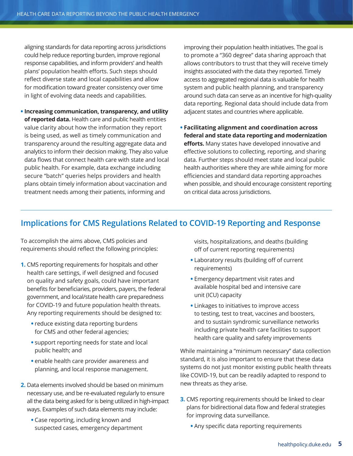aligning standards for data reporting across jurisdictions could help reduce reporting burden, improve regional response capabilities, and inform providers' and health plans' population health efforts. Such steps should reflect diverse state and local capabilities and allow for modification toward greater consistency over time in light of evolving data needs and capabilities.

**• Increasing communication, transparency, and utility of reported data.** Health care and public health entities value clarity about how the information they report is being used, as well as timely communication and transparency around the resulting aggregate data and analytics to inform their decision making. They also value data flows that connect health care with state and local public health. For example, data exchange including secure "batch" queries helps providers and health plans obtain timely information about vaccination and treatment needs among their patients, informing and

improving their population health initiatives. The goal is to promote a "360 degree" data sharing approach that allows contributors to trust that they will receive timely insights associated with the data they reported. Timely access to aggregated regional data is valuable for health system and public health planning, and transparency around such data can serve as an incentive for high-quality data reporting. Regional data should include data from adjacent states and countries where applicable.

**• Facilitating alignment and coordination across federal and state data reporting and modernization efforts.** Many states have developed innovative and effective solutions to collecting, reporting, and sharing data. Further steps should meet state and local public health authorities where they are while aiming for more efficiencies and standard data reporting approaches when possible, and should encourage consistent reporting on critical data across jurisdictions.

## **Implications for CMS Regulations Related to COVID-19 Reporting and Response**

To accomplish the aims above, CMS policies and requirements should reflect the following principles:

- **1.** CMS reporting requirements for hospitals and other health care settings, if well designed and focused on quality and safety goals, could have important benefits for beneficiaries, providers, payers, the federal government, and local/state health care preparedness for COVID-19 and future population health threats. Any reporting requirements should be designed to:
	- **•** reduce existing data reporting burdens for CMS and other federal agencies;
	- **•** support reporting needs for state and local public health; and
	- **•** enable health care provider awareness and planning, and local response management.
- **2.** Data elements involved should be based on minimum necessary use, and be re-evaluated regularly to ensure all the data being asked for is being utilized in high-impact ways. Examples of such data elements may include:
	- **•** Case reporting, including known and suspected cases, emergency department

visits, hospitalizations, and deaths (building off of current reporting requirements)

- **•** Laboratory results (building off of current requirements)
- **•** Emergency department visit rates and available hospital bed and intensive care unit (ICU) capacity
- **•** Linkages to initiatives to improve access to testing, test to treat, vaccines and boosters, and to sustain syndromic surveillance networks including private health care facilities to support health care quality and safety improvements

While maintaining a "minimum necessary" data collection standard, it is also important to ensure that these data systems do not just monitor existing public health threats like COVID-19, but can be readily adapted to respond to new threats as they arise.

- **3.** CMS reporting requirements should be linked to clear plans for bidirectional data flow and federal strategies for improving data surveillance.
	- **•** Any specific data reporting requirements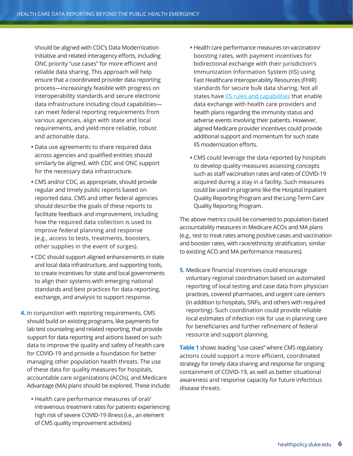should be aligned with CDC's Data Modernization Initiative and related interagency efforts, including ONC priority "use cases" for more efficient and reliable data sharing. This approach will help ensure that a coordinated provider data reporting process—increasingly feasible with progress on interoperability standards and secure electronic data infrastructure including cloud capabilities can meet federal reporting requirements from various agencies, align with state and local requirements, and yield more reliable, robust and actionable data.

- **•** Data use agreements to share required data across agencies and qualified entities should similarly be aligned, with CDC and ONC support for the necessary data infrastructure.
- **•** CMS and/or CDC, as appropriate, should provide regular and timely public reports based on reported data. CMS and other federal agencies should describe the goals of these reports to facilitate feedback and improvement, including how the required data collection is used to improve federal planning and response (e.g., access to tests, treatments, boosters, other supplies in the event of surges).
- **•** CDC should support aligned enhancements in state and local data infrastructure, and supporting tools, to create incentives for state and local governments to align their systems with emerging national standards and best practices for data reporting, exchange, and analysis to support response.
- **4.** In conjunction with reporting requirements, CMS should build on existing programs, like payments for lab test counseling and related reporting, that provide support for data reporting and actions based on such data to improve the quality and safety of health care for COVID-19 and provide a foundation for better managing other population health threats. The use of these data for quality measures for hospitals, accountable care organizations (ACOs), and Medicare Advantage (MA) plans should be explored. These include:
	- **•** Health care performance measures of oral/ intravenous treatment rates for patients experiencing high risk of severe COVID-19 illness (i.e., an element of CMS quality improvement activities)
- **•** Health care performance measures on vaccination/ boosting rates, with payment incentives for bidirectional exchange with their jurisdiction's Immunization Information System (IIS) using Fast Healthcare Interoperability Resources (FHIR) standards for secure bulk data sharing. Not all states have [IIS rules and capabilities](https://healthpolicy.duke.edu/publications/improving-immunization-information-sharing-support-targeted-covid-19-vaccination) that enable data exchange with health care providers and health plans regarding the immunity status and adverse events involving their patients. However, aligned Medicare provider incentives could provide additional support and momentum for such state IIS modernization efforts.
- **•** CMS could leverage the data reported by hospitals to develop quality measures assessing concepts such as staff vaccination rates and rates of COVID-19 acquired during a stay in a facility. Such measures could be used in programs like the Hospital Inpatient Quality Reporting Program and the Long-Term Care Quality Reporting Program.

The above metrics could be converted to population-based accountability measures in Medicare ACOs and MA plans (e.g., test to treat rates among positive cases and vaccination and booster rates, with race/ethnicity stratification, similar to existing ACO and MA performance measures).

**5.** Medicare financial incentives could encourage voluntary regional coordination based on automated reporting of local testing and case data from physician practices, covered pharmacies, and urgent care centers (in addition to hospitals, SNFs, and others with required reporting). Such coordination could provide reliable local estimates of infection risk for use in planning care for beneficiaries and further refinement of federal resource and support planning.

**Table 1** shows leading "use cases" where CMS regulatory actions could support a more efficient, coordinated strategy for timely data sharing and response for ongoing containment of COVID-19, as well as better situational awareness and response capacity for future infectious disease threats.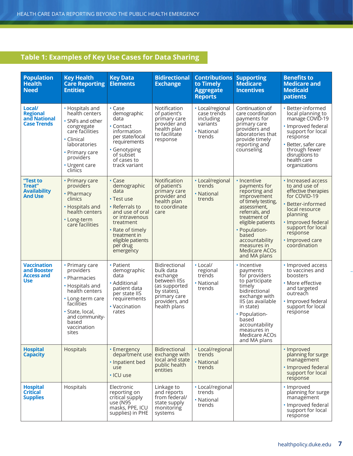# **Table 1: Examples of Key Use Cases for Data Sharing**

| <b>Population</b><br><b>Health</b><br><b>Need</b>               | <b>Key Health</b><br><b>Care Reporting</b><br><b>Entities</b>                                                                                                                            | <b>Key Data</b><br><b>Elements</b>                                                                                                                                                                | <b>Bidirectional</b><br><b>Exchange</b>                                                                                                  | <b>Contributions</b><br>to Timely<br><b>Aggregate</b><br><b>Reports</b>          | <b>Supporting</b><br><b>Medicare</b><br><b>Incentives</b>                                                                                                                                                                                           | <b>Benefits to</b><br><b>Medicare and</b><br><b>Medicaid</b><br>patients                                                                                                                                                |
|-----------------------------------------------------------------|------------------------------------------------------------------------------------------------------------------------------------------------------------------------------------------|---------------------------------------------------------------------------------------------------------------------------------------------------------------------------------------------------|------------------------------------------------------------------------------------------------------------------------------------------|----------------------------------------------------------------------------------|-----------------------------------------------------------------------------------------------------------------------------------------------------------------------------------------------------------------------------------------------------|-------------------------------------------------------------------------------------------------------------------------------------------------------------------------------------------------------------------------|
| Local/<br><b>Regional</b><br>and National<br><b>Case Trends</b> | • Hospitals and<br>health centers<br>• SNFs and other<br>congregate<br>care facilities<br>• Clinical<br>laboratories<br>• Primary care<br>providers<br>• Urgent care<br>clinics          | $\cdot$ Case<br>demographic<br>data<br>• Contact<br>information<br>per state/local<br>requirements<br>· Genotyping<br>of subset<br>of cases to<br>track variant                                   | Notification<br>of patient's<br>primary care<br>provider and<br>health plan<br>to facilitate<br>response                                 | • Local/regional<br>case trends<br>including<br>variants<br>• National<br>trends | Continuation of<br>care coordination<br>payments for<br>primary care<br>providers and<br>laboratories that<br>provide timely<br>reporting and<br>counseling                                                                                         | · Better-informed<br>local planning to<br>manage COVID-19<br>· Improved federal<br>support for local<br>response<br>• Better, safer care<br>through fewer<br>disruptions to<br>health care<br>organizations             |
| "Test to<br>Treat"<br><b>Availability</b><br><b>And Use</b>     | • Primary care<br>providers<br>• Pharmacy<br>clinics<br>• Hospitals and<br>health centers<br>• Long-term<br>care facilities                                                              | • Case<br>demographic<br>data<br>• Test use<br>• Referrals to<br>and use of oral<br>or intravenous<br>treatment<br>• Rate of timely<br>treatment in<br>eligible patients<br>per drug<br>emergency | Notification<br>of patient's<br>primary care<br>provider and<br>health plan<br>to coordinate<br>care                                     | • Local/regional<br>trends<br>• National<br>trends                               | • Incentive<br>payments for<br>reporting and<br>improvement<br>of timely testing,<br>assessment,<br>referrals, and<br>treatment of<br>eligible patients<br>· Population-<br>based<br>accountability<br>measures in<br>Medicare ACOs<br>and MA plans | • Increased access<br>to and use of<br>effective therapies<br>for COVID-19<br>• Better-informed<br>local resource<br>planning<br>• Improved federal<br>support for local<br>response<br>· Improved care<br>coordination |
| <b>Vaccination</b><br>and Booster<br>Access and<br>Use          | • Primary care<br>providers<br>• Pharmacies<br>• Hospitals and<br>health centers<br>• Long-term care<br>facilities<br>· State, local,<br>and community-<br>based<br>vaccination<br>sites | • Patient<br>demographic<br>data<br>• Additional<br>patient data<br>per state IIS<br>requirements<br>• Vaccination<br>rates                                                                       | Bidirectional<br>bulk data<br>exchange<br>between IISs<br>(as supported<br>by states),<br>primary care<br>providers, and<br>health plans | • Local/<br>regional<br>trends<br>• National<br>trends                           | • Incentive<br>payments<br>for providers<br>to participate<br>timely<br>bidirectional<br>exchange with<br>IIS (as available<br>in state)<br>• Population-<br>based<br>accountability<br>measures in<br>Medicare ACOs<br>and MA plans                | • Improved access<br>to vaccines and<br>boosters<br>• More effective<br>and targeted<br>outreach<br>· Improved federal<br>support for local<br>response                                                                 |
| <b>Hospital</b><br><b>Capacity</b>                              | Hospitals                                                                                                                                                                                | • Emergency<br>department use<br>· Inpatient bed<br>use<br>· ICU use                                                                                                                              | <b>Bidirectional</b><br>exchange with<br>local and state<br>public health<br>entities                                                    | • Local/regional<br>trends<br>• National<br>trends                               |                                                                                                                                                                                                                                                     | • Improved<br>planning for surge<br>management<br>· Improved federal<br>support for local<br>response                                                                                                                   |
| <b>Hospital</b><br><b>Critical</b><br><b>Supplies</b>           | Hospitals                                                                                                                                                                                | Electronic<br>reporting on<br>critical supply<br>use (N95<br>masks, PPE, ICU<br>supplies) in PHE                                                                                                  | Linkage to<br>and reports<br>from federal/<br>state supply<br>monitoring<br>systems                                                      | • Local/regional<br>trends<br>• National<br>trends                               |                                                                                                                                                                                                                                                     | • Improved<br>planning for surge<br>management<br>• Improved federal<br>support for local<br>response                                                                                                                   |